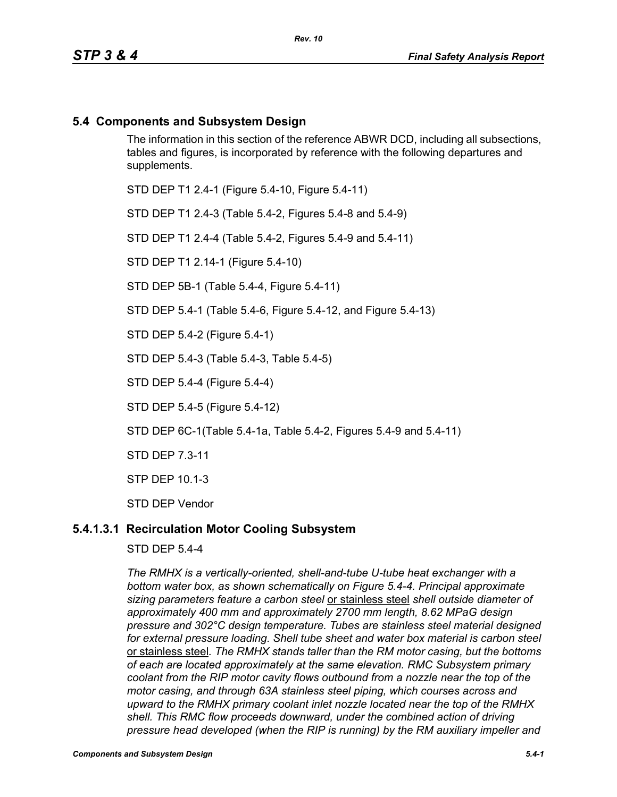# **5.4 Components and Subsystem Design**

The information in this section of the reference ABWR DCD, including all subsections, tables and figures, is incorporated by reference with the following departures and supplements.

STD DEP T1 2.4-1 (Figure 5.4-10, Figure 5.4-11)

STD DEP T1 2.4-3 (Table 5.4-2, Figures 5.4-8 and 5.4-9)

STD DEP T1 2.4-4 (Table 5.4-2, Figures 5.4-9 and 5.4-11)

STD DEP T1 2.14-1 (Figure 5.4-10)

STD DEP 5B-1 (Table 5.4-4, Figure 5.4-11)

STD DEP 5.4-1 (Table 5.4-6, Figure 5.4-12, and Figure 5.4-13)

STD DEP 5.4-2 (Figure 5.4-1)

STD DEP 5.4-3 (Table 5.4-3, Table 5.4-5)

STD DEP 5.4-4 (Figure 5.4-4)

STD DEP 5.4-5 (Figure 5.4-12)

STD DEP 6C-1(Table 5.4-1a, Table 5.4-2, Figures 5.4-9 and 5.4-11)

STD DEP 7.3-11

STP DEP 10.1-3

STD DEP Vendor

### **5.4.1.3.1 Recirculation Motor Cooling Subsystem**

STD DEP 5.4-4

*The RMHX is a vertically-oriented, shell-and-tube U-tube heat exchanger with a bottom water box, as shown schematically on Figure 5.4-4. Principal approximate sizing parameters feature a carbon steel* or stainless steel *shell outside diameter of approximately 400 mm and approximately 2700 mm length, 8.62 MPaG design pressure and 302°C design temperature. Tubes are stainless steel material designed for external pressure loading. Shell tube sheet and water box material is carbon steel*  or stainless steel*. The RMHX stands taller than the RM motor casing, but the bottoms of each are located approximately at the same elevation. RMC Subsystem primary coolant from the RIP motor cavity flows outbound from a nozzle near the top of the motor casing, and through 63A stainless steel piping, which courses across and upward to the RMHX primary coolant inlet nozzle located near the top of the RMHX shell. This RMC flow proceeds downward, under the combined action of driving pressure head developed (when the RIP is running) by the RM auxiliary impeller and*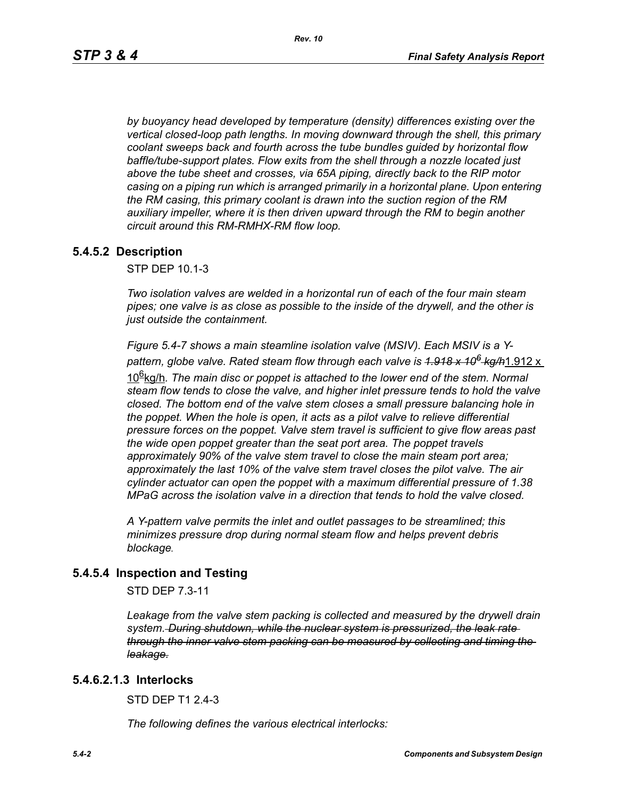*by buoyancy head developed by temperature (density) differences existing over the vertical closed-loop path lengths. In moving downward through the shell, this primary coolant sweeps back and fourth across the tube bundles guided by horizontal flow baffle/tube-support plates. Flow exits from the shell through a nozzle located just above the tube sheet and crosses, via 65A piping, directly back to the RIP motor casing on a piping run which is arranged primarily in a horizontal plane. Upon entering the RM casing, this primary coolant is drawn into the suction region of the RM auxiliary impeller, where it is then driven upward through the RM to begin another circuit around this RM-RMHX-RM flow loop.*

### **5.4.5.2 Description**

STP DEP 10.1-3

*Two isolation valves are welded in a horizontal run of each of the four main steam pipes; one valve is as close as possible to the inside of the drywell, and the other is just outside the containment.* 

*Figure 5.4-7 shows a main steamline isolation valve (MSIV). Each MSIV is a Ypattern, globe valve. Rated steam flow through each valve is 1.918 x 106 kg/h*1.912 x

10<sup>g</sup>kg/h. The main disc or poppet is attached to the lower end of the stem. Normal *steam flow tends to close the valve, and higher inlet pressure tends to hold the valve closed. The bottom end of the valve stem closes a small pressure balancing hole in the poppet. When the hole is open, it acts as a pilot valve to relieve differential pressure forces on the poppet. Valve stem travel is sufficient to give flow areas past the wide open poppet greater than the seat port area. The poppet travels approximately 90% of the valve stem travel to close the main steam port area; approximately the last 10% of the valve stem travel closes the pilot valve. The air cylinder actuator can open the poppet with a maximum differential pressure of 1.38 MPaG across the isolation valve in a direction that tends to hold the valve closed.* 

*A Y-pattern valve permits the inlet and outlet passages to be streamlined; this minimizes pressure drop during normal steam flow and helps prevent debris blockage.*

### **5.4.5.4 Inspection and Testing**

STD DEP 7.3-11

Leakage from the valve stem packing is collected and measured by the drywell drain *system. During shutdown, while the nuclear system is pressurized, the leak rate through the inner valve stem packing can be measured by collecting and timing the leakage.*

#### **5.4.6.2.1.3 Interlocks**

STD DFP T1 2 4-3

*The following defines the various electrical interlocks:*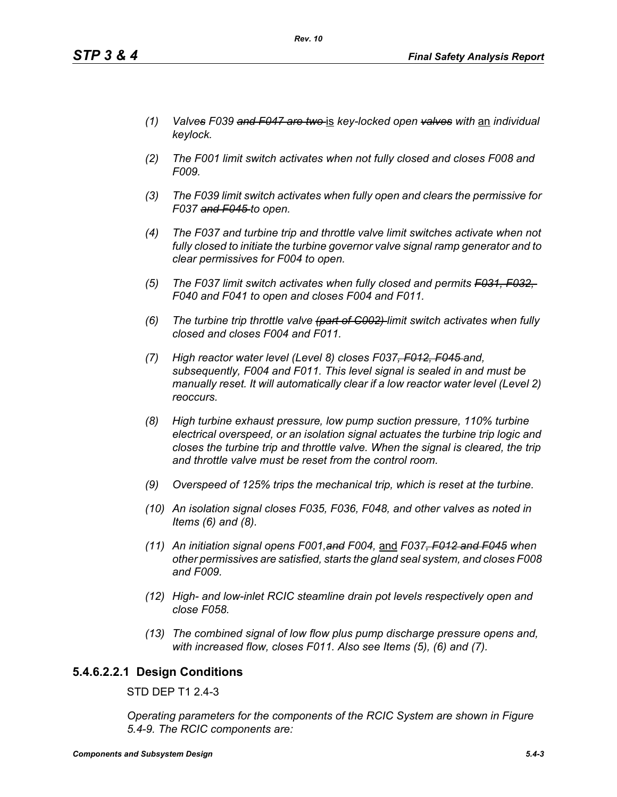- *(1) Valves F039 and F047 are two* is *key-locked open valves with* an *individual keylock.*
- *(2) The F001 limit switch activates when not fully closed and closes F008 and F009.*
- *(3) The F039 limit switch activates when fully open and clears the permissive for F037 and F045 to open.*
- *(4) The F037 and turbine trip and throttle valve limit switches activate when not fully closed to initiate the turbine governor valve signal ramp generator and to clear permissives for F004 to open.*
- *(5) The F037 limit switch activates when fully closed and permits F031, F032, F040 and F041 to open and closes F004 and F011.*
- *(6) The turbine trip throttle valve (part of C002) limit switch activates when fully closed and closes F004 and F011.*
- *(7) High reactor water level (Level 8) closes F037, F012, F045 and, subsequently, F004 and F011. This level signal is sealed in and must be manually reset. It will automatically clear if a low reactor water level (Level 2) reoccurs.*
- *(8) High turbine exhaust pressure, low pump suction pressure, 110% turbine electrical overspeed, or an isolation signal actuates the turbine trip logic and closes the turbine trip and throttle valve. When the signal is cleared, the trip and throttle valve must be reset from the control room.*
- *(9) Overspeed of 125% trips the mechanical trip, which is reset at the turbine.*
- *(10) An isolation signal closes F035, F036, F048, and other valves as noted in Items (6) and (8).*
- *(11) An initiation signal opens F001,and F004,* and *F037, F012 and F045 when other permissives are satisfied, starts the gland seal system, and closes F008 and F009.*
- *(12) High- and low-inlet RCIC steamline drain pot levels respectively open and close F058.*
- *(13) The combined signal of low flow plus pump discharge pressure opens and, with increased flow, closes F011. Also see Items (5), (6) and (7).*

# **5.4.6.2.2.1 Design Conditions**

STD DEP T1 2.4-3

*Operating parameters for the components of the RCIC System are shown in Figure 5.4-9. The RCIC components are:*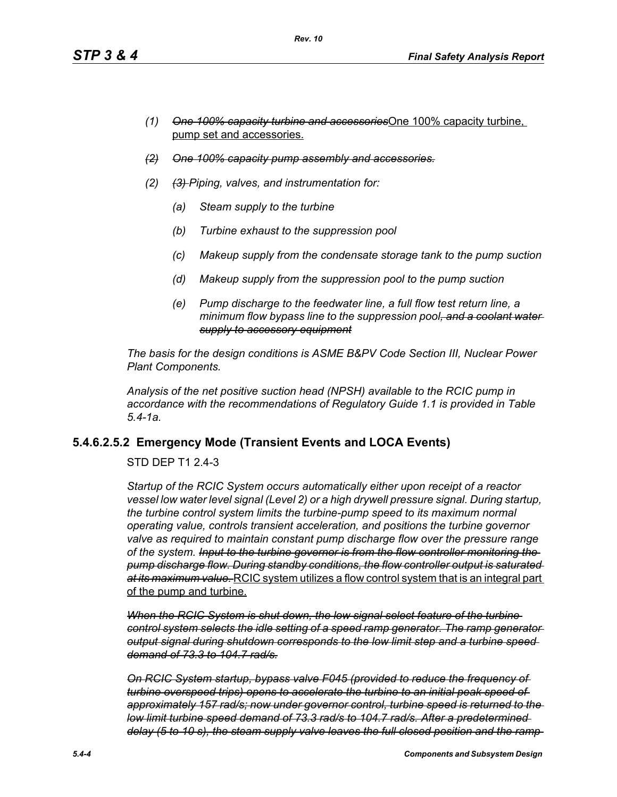- *(1) One 100% capacity turbine and accessories*One 100% capacity turbine, pump set and accessories.
- *(2) One 100% capacity pump assembly and accessories.*
- *(2) (3) Piping, valves, and instrumentation for:*
	- *(a) Steam supply to the turbine*
	- *(b) Turbine exhaust to the suppression pool*
	- *(c) Makeup supply from the condensate storage tank to the pump suction*
	- *(d) Makeup supply from the suppression pool to the pump suction*
	- *(e) Pump discharge to the feedwater line, a full flow test return line, a minimum flow bypass line to the suppression pool, and a coolant water supply to accessory equipment*

*The basis for the design conditions is ASME B&PV Code Section III, Nuclear Power Plant Components.*

*Analysis of the net positive suction head (NPSH) available to the RCIC pump in accordance with the recommendations of Regulatory Guide 1.1 is provided in Table 5.4-1a.*

# **5.4.6.2.5.2 Emergency Mode (Transient Events and LOCA Events)**

STD DEP T1 2.4-3

*Startup of the RCIC System occurs automatically either upon receipt of a reactor vessel low water level signal (Level 2) or a high drywell pressure signal. During startup, the turbine control system limits the turbine-pump speed to its maximum normal operating value, controls transient acceleration, and positions the turbine governor valve as required to maintain constant pump discharge flow over the pressure range of the system. Input to the turbine governor is from the flow controller monitoring the pump discharge flow. During standby conditions, the flow controller output is saturated at its maximum value.* RCIC system utilizes a flow control system that is an integral part of the pump and turbine.

*When the RCIC System is shut down, the low signal select feature of the turbine control system selects the idle setting of a speed ramp generator. The ramp generator output signal during shutdown corresponds to the low limit step and a turbine speed demand of 73.3 to 104.7 rad/s.*

*On RCIC System startup, bypass valve F045 (provided to reduce the frequency of turbine overspeed trips) opens to accelerate the turbine to an initial peak speed of approximately 157 rad/s; now under governor control, turbine speed is returned to the low limit turbine speed demand of 73.3 rad/s to 104.7 rad/s. After a predetermined delay (5 to 10 s), the steam supply valve leaves the full closed position and the ramp*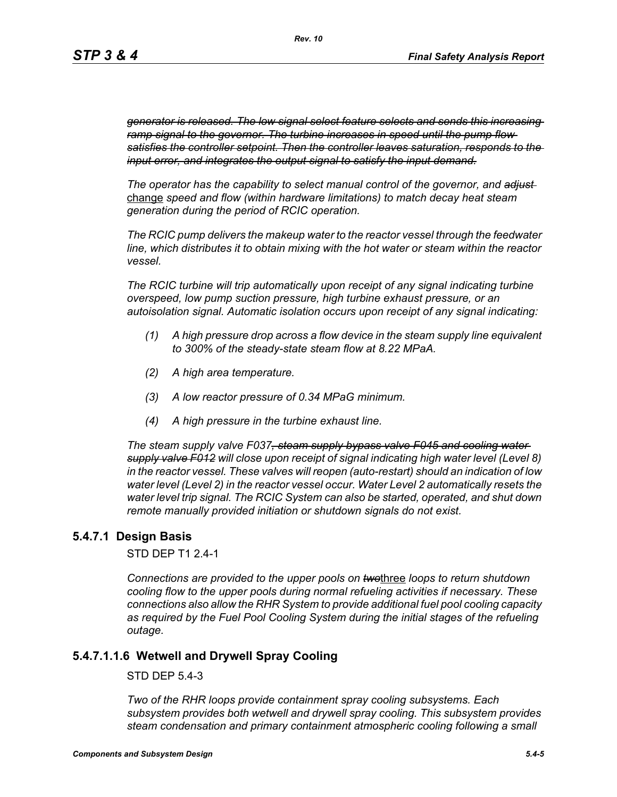*generator is released. The low signal select feature selects and sends this increasing ramp signal to the governor. The turbine increases in speed until the pump flow satisfies the controller setpoint. Then the controller leaves saturation, responds to the input error, and integrates the output signal to satisfy the input demand.*

*The operator has the capability to select manual control of the governor, and adjust*  change *speed and flow (within hardware limitations) to match decay heat steam generation during the period of RCIC operation.*

*The RCIC pump delivers the makeup water to the reactor vessel through the feedwater line, which distributes it to obtain mixing with the hot water or steam within the reactor vessel.*

*The RCIC turbine will trip automatically upon receipt of any signal indicating turbine overspeed, low pump suction pressure, high turbine exhaust pressure, or an autoisolation signal. Automatic isolation occurs upon receipt of any signal indicating:*

- *(1) A high pressure drop across a flow device in the steam supply line equivalent to 300% of the steady-state steam flow at 8.22 MPaA.*
- *(2) A high area temperature.*
- *(3) A low reactor pressure of 0.34 MPaG minimum.*
- *(4) A high pressure in the turbine exhaust line.*

*The steam supply valve F037, steam supply bypass valve F045 and cooling water supply valve F012 will close upon receipt of signal indicating high water level (Level 8) in the reactor vessel. These valves will reopen (auto-restart) should an indication of low water level (Level 2) in the reactor vessel occur. Water Level 2 automatically resets the water level trip signal. The RCIC System can also be started, operated, and shut down remote manually provided initiation or shutdown signals do not exist.*

### **5.4.7.1 Design Basis**

STD DEP T1 2.4-1

*Connections are provided to the upper pools on two*three *loops to return shutdown cooling flow to the upper pools during normal refueling activities if necessary. These connections also allow the RHR System to provide additional fuel pool cooling capacity as required by the Fuel Pool Cooling System during the initial stages of the refueling outage.*

### **5.4.7.1.1.6 Wetwell and Drywell Spray Cooling**

STD DEP 5.4-3

*Two of the RHR loops provide containment spray cooling subsystems. Each subsystem provides both wetwell and drywell spray cooling. This subsystem provides steam condensation and primary containment atmospheric cooling following a small*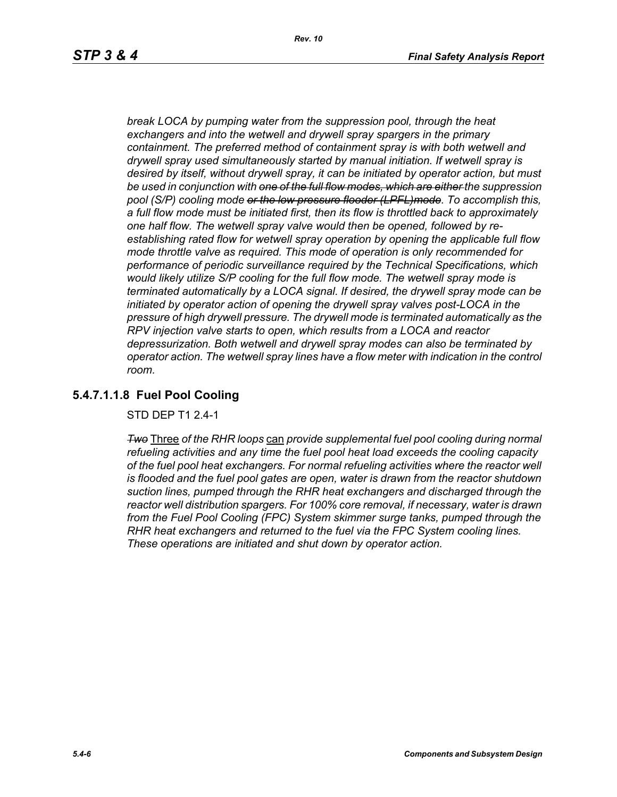*break LOCA by pumping water from the suppression pool, through the heat exchangers and into the wetwell and drywell spray spargers in the primary containment. The preferred method of containment spray is with both wetwell and drywell spray used simultaneously started by manual initiation. If wetwell spray is desired by itself, without drywell spray, it can be initiated by operator action, but must be used in conjunction with one of the full flow modes, which are either the suppression pool (S/P) cooling mode or the low pressure flooder (LPFL)mode. To accomplish this, a full flow mode must be initiated first, then its flow is throttled back to approximately one half flow. The wetwell spray valve would then be opened, followed by reestablishing rated flow for wetwell spray operation by opening the applicable full flow mode throttle valve as required. This mode of operation is only recommended for performance of periodic surveillance required by the Technical Specifications, which would likely utilize S/P cooling for the full flow mode. The wetwell spray mode is terminated automatically by a LOCA signal. If desired, the drywell spray mode can be initiated by operator action of opening the drywell spray valves post-LOCA in the pressure of high drywell pressure. The drywell mode is terminated automatically as the RPV injection valve starts to open, which results from a LOCA and reactor depressurization. Both wetwell and drywell spray modes can also be terminated by operator action. The wetwell spray lines have a flow meter with indication in the control room.*

# **5.4.7.1.1.8 Fuel Pool Cooling**

STD DEP T1 2.4-1

*Two* Three *of the RHR loops* can *provide supplemental fuel pool cooling during normal refueling activities and any time the fuel pool heat load exceeds the cooling capacity of the fuel pool heat exchangers. For normal refueling activities where the reactor well is flooded and the fuel pool gates are open, water is drawn from the reactor shutdown suction lines, pumped through the RHR heat exchangers and discharged through the reactor well distribution spargers. For 100% core removal, if necessary, water is drawn from the Fuel Pool Cooling (FPC) System skimmer surge tanks, pumped through the RHR heat exchangers and returned to the fuel via the FPC System cooling lines. These operations are initiated and shut down by operator action.*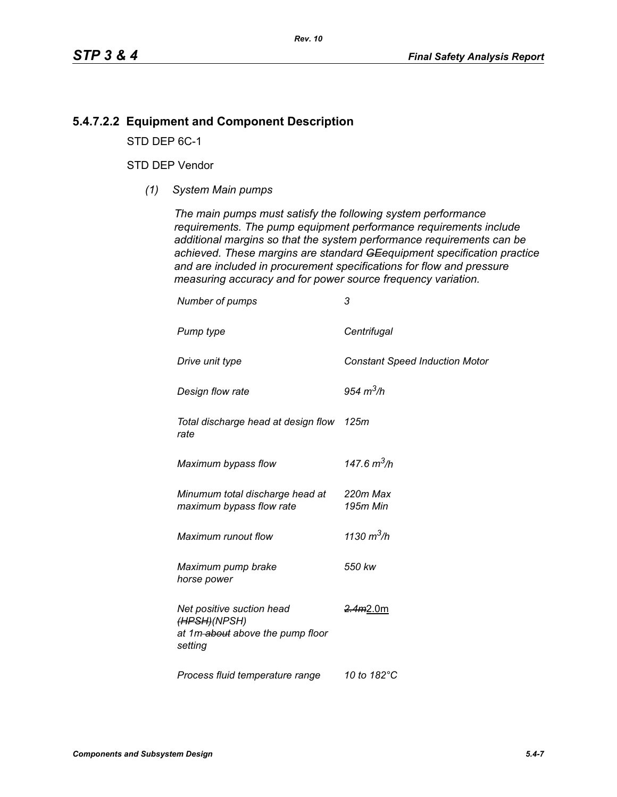# **5.4.7.2.2 Equipment and Component Description**

STD DEP 6C-1

#### STD DEP Vendor

*(1) System Main pumps*

*The main pumps must satisfy the following system performance requirements. The pump equipment performance requirements include additional margins so that the system performance requirements can be achieved. These margins are standard GEequipment specification practice and are included in procurement specifications for flow and pressure measuring accuracy and for power source frequency variation.*

| Number of pumps                                                                          | 3                                     |
|------------------------------------------------------------------------------------------|---------------------------------------|
| Pump type                                                                                | Centrifugal                           |
| Drive unit type                                                                          | <b>Constant Speed Induction Motor</b> |
| Design flow rate                                                                         | 954 $m^3/h$                           |
| Total discharge head at design flow 125m<br>rate                                         |                                       |
| Maximum bypass flow                                                                      | 147.6 $m^3/h$                         |
| Minumum total discharge head at<br>maximum bypass flow rate                              | 220m Max<br>195m Min                  |
| Maximum runout flow                                                                      | 1130 $m^3/h$                          |
| Maximum pump brake<br>horse power                                                        | 550 kw                                |
| Net positive suction head<br>(HPSH)(NPSH)<br>at 1m-about above the pump floor<br>setting | <del>2.4m</del> 2.0m                  |
| Process fluid temperature range                                                          | 10 to 182°C                           |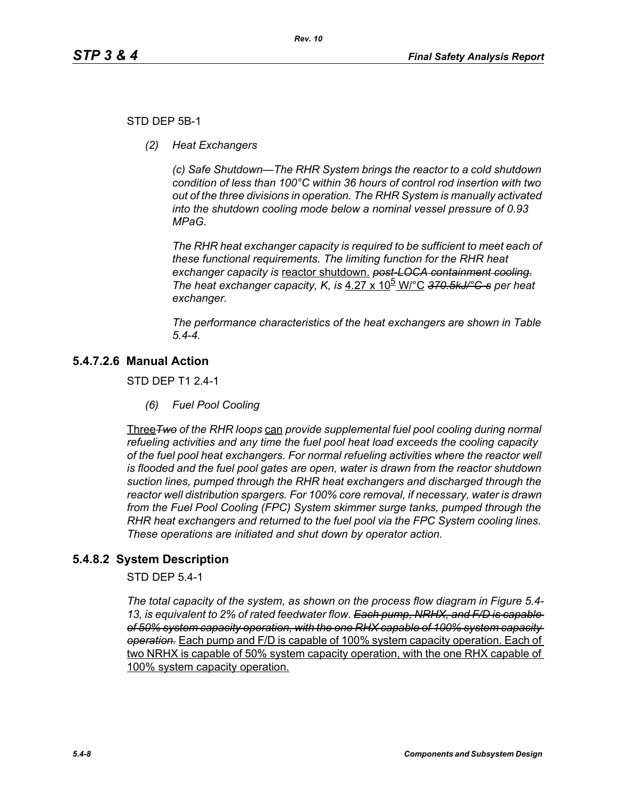### STD DEP 5B-1

*(2) Heat Exchangers*

*(c) Safe Shutdown—The RHR System brings the reactor to a cold shutdown condition of less than 100°C within 36 hours of control rod insertion with two out of the three divisions in operation. The RHR System is manually activated into the shutdown cooling mode below a nominal vessel pressure of 0.93 MPaG.* 

*The RHR heat exchanger capacity is required to be sufficient to meet each of these functional requirements. The limiting function for the RHR heat exchanger capacity is* reactor shutdown. *post-LOCA containment cooling. The heat exchanger capacity, K, is* 4.27 x 10<sup>b</sup> W/°C 370.5kJ/°C-s per heat *exchanger.*

*The performance characteristics of the heat exchangers are shown in Table 5.4-4.*

# **5.4.7.2.6 Manual Action**

STD DEP T1 2.4-1

*(6) Fuel Pool Cooling*

Three*Two of the RHR loops* can *provide supplemental fuel pool cooling during normal refueling activities and any time the fuel pool heat load exceeds the cooling capacity of the fuel pool heat exchangers. For normal refueling activities where the reactor well is flooded and the fuel pool gates are open, water is drawn from the reactor shutdown suction lines, pumped through the RHR heat exchangers and discharged through the reactor well distribution spargers. For 100% core removal, if necessary, water is drawn from the Fuel Pool Cooling (FPC) System skimmer surge tanks, pumped through the RHR heat exchangers and returned to the fuel pool via the FPC System cooling lines. These operations are initiated and shut down by operator action.*

# **5.4.8.2 System Description**

STD DEP 5.4-1

*The total capacity of the system, as shown on the process flow diagram in Figure 5.4- 13, is equivalent to 2% of rated feedwater flow. Each pump, NRHX, and F/D is capable of 50% system capacity operation, with the one RHX capable of 100% system capacity operation.* Each pump and F/D is capable of 100% system capacity operation. Each of two NRHX is capable of 50% system capacity operation, with the one RHX capable of 100% system capacity operation.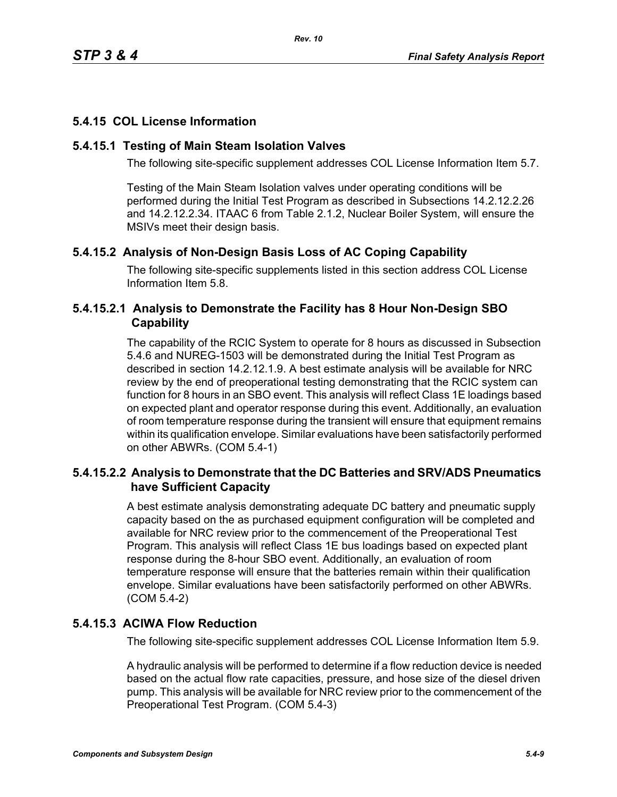# **5.4.15 COL License Information**

### **5.4.15.1 Testing of Main Steam Isolation Valves**

The following site-specific supplement addresses COL License Information Item 5.7.

Testing of the Main Steam Isolation valves under operating conditions will be performed during the Initial Test Program as described in Subsections 14.2.12.2.26 and 14.2.12.2.34. ITAAC 6 from Table 2.1.2, Nuclear Boiler System, will ensure the MSIVs meet their design basis.

# **5.4.15.2 Analysis of Non-Design Basis Loss of AC Coping Capability**

The following site-specific supplements listed in this section address COL License Information Item 5.8.

# **5.4.15.2.1 Analysis to Demonstrate the Facility has 8 Hour Non-Design SBO Capability**

The capability of the RCIC System to operate for 8 hours as discussed in Subsection 5.4.6 and NUREG-1503 will be demonstrated during the Initial Test Program as described in section 14.2.12.1.9. A best estimate analysis will be available for NRC review by the end of preoperational testing demonstrating that the RCIC system can function for 8 hours in an SBO event. This analysis will reflect Class 1E loadings based on expected plant and operator response during this event. Additionally, an evaluation of room temperature response during the transient will ensure that equipment remains within its qualification envelope. Similar evaluations have been satisfactorily performed on other ABWRs. (COM 5.4-1)

# **5.4.15.2.2 Analysis to Demonstrate that the DC Batteries and SRV/ADS Pneumatics have Sufficient Capacity**

A best estimate analysis demonstrating adequate DC battery and pneumatic supply capacity based on the as purchased equipment configuration will be completed and available for NRC review prior to the commencement of the Preoperational Test Program. This analysis will reflect Class 1E bus loadings based on expected plant response during the 8-hour SBO event. Additionally, an evaluation of room temperature response will ensure that the batteries remain within their qualification envelope. Similar evaluations have been satisfactorily performed on other ABWRs. (COM 5.4-2)

# **5.4.15.3 ACIWA Flow Reduction**

The following site-specific supplement addresses COL License Information Item 5.9.

A hydraulic analysis will be performed to determine if a flow reduction device is needed based on the actual flow rate capacities, pressure, and hose size of the diesel driven pump. This analysis will be available for NRC review prior to the commencement of the Preoperational Test Program. (COM 5.4-3)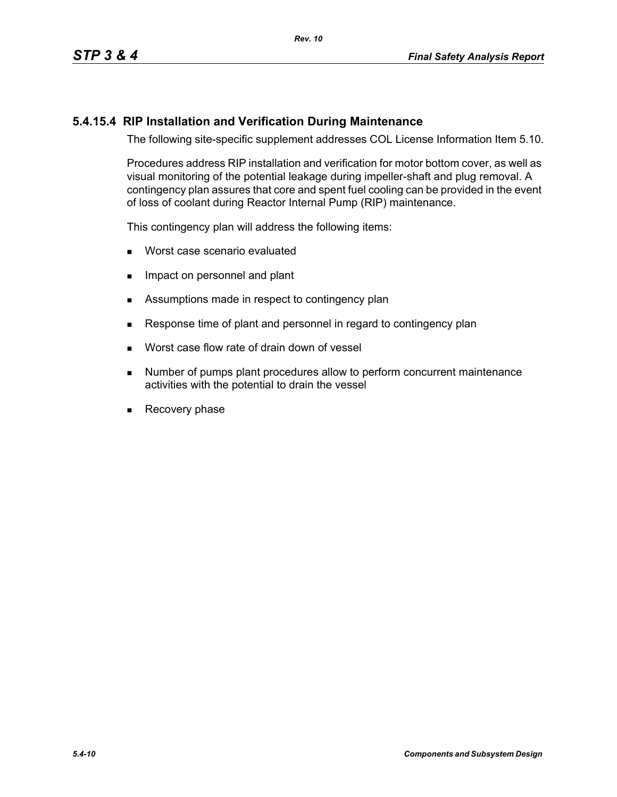## **5.4.15.4 RIP Installation and Verification During Maintenance**

The following site-specific supplement addresses COL License Information Item 5.10.

Procedures address RIP installation and verification for motor bottom cover, as well as visual monitoring of the potential leakage during impeller-shaft and plug removal. A contingency plan assures that core and spent fuel cooling can be provided in the event of loss of coolant during Reactor Internal Pump (RIP) maintenance.

This contingency plan will address the following items:

- **Worst case scenario evaluated**
- **IMPACT ON PERSONAL EXAMPLE 19** Impact on personnel and plant
- Assumptions made in respect to contingency plan
- Response time of plant and personnel in regard to contingency plan
- **Norst case flow rate of drain down of vessel**
- **Number of pumps plant procedures allow to perform concurrent maintenance** activities with the potential to drain the vessel
- Recovery phase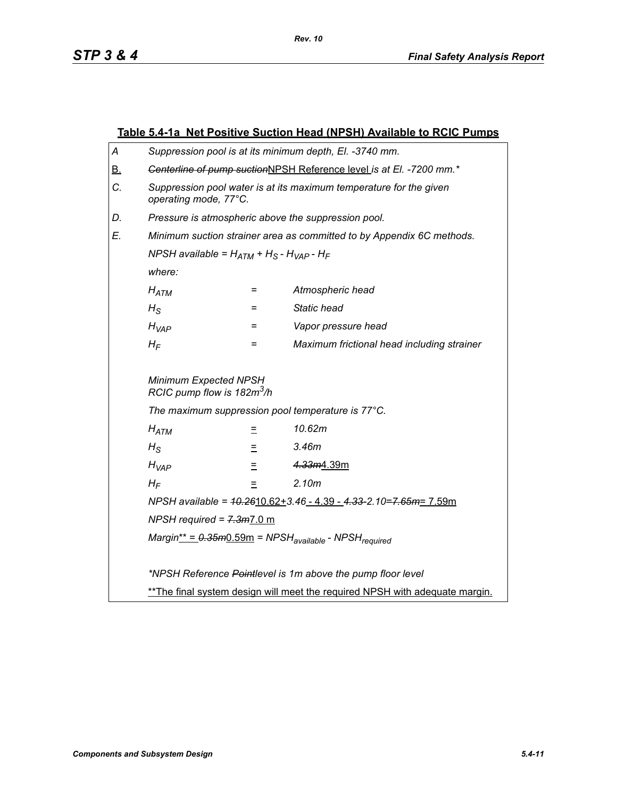|                                                                           | Table 5.4-1a Net Positive Suction Head (NPSH) Available to RCIC Pumps                       |                                                   |                                                                              |  |  |
|---------------------------------------------------------------------------|---------------------------------------------------------------------------------------------|---------------------------------------------------|------------------------------------------------------------------------------|--|--|
| Α                                                                         | Suppression pool is at its minimum depth, El. -3740 mm.                                     |                                                   |                                                                              |  |  |
| <u>B.</u>                                                                 | Genterline of pump suctionNPSH Reference level is at El. - 7200 mm.*                        |                                                   |                                                                              |  |  |
| C.                                                                        | Suppression pool water is at its maximum temperature for the given<br>operating mode, 77°C. |                                                   |                                                                              |  |  |
| D.                                                                        | Pressure is atmospheric above the suppression pool.                                         |                                                   |                                                                              |  |  |
| E.                                                                        | Minimum suction strainer area as committed to by Appendix 6C methods.                       |                                                   |                                                                              |  |  |
|                                                                           | NPSH available = $H_{ATM}$ + $H_S$ - $H_{VAP}$ - $H_F$                                      |                                                   |                                                                              |  |  |
|                                                                           | where:                                                                                      |                                                   |                                                                              |  |  |
|                                                                           | Atmospheric head<br>$H_{ATM}$<br>$=$                                                        |                                                   |                                                                              |  |  |
|                                                                           | $H_{\rm S}$                                                                                 | $=$                                               | Static head                                                                  |  |  |
|                                                                           | $H_{VAP}$                                                                                   | $=$                                               | Vapor pressure head                                                          |  |  |
| $H_F$<br>$=$                                                              |                                                                                             |                                                   | Maximum frictional head including strainer                                   |  |  |
|                                                                           | Minimum Expected NPSH<br>RCIC pump flow is 182m <sup>3</sup> /h                             |                                                   |                                                                              |  |  |
|                                                                           |                                                                                             | The maximum suppression pool temperature is 77°C. |                                                                              |  |  |
|                                                                           | 10.62m<br>$H_{ATM}$<br>Ξ                                                                    |                                                   |                                                                              |  |  |
| 3.46m<br>$H_{\rm S}$<br>Ξ                                                 |                                                                                             |                                                   |                                                                              |  |  |
| $H_{VAP}$<br>$\equiv$                                                     |                                                                                             |                                                   | 4.33m4.39m                                                                   |  |  |
| 2.10 <sub>m</sub><br>$H_F$<br>Ξ                                           |                                                                                             |                                                   |                                                                              |  |  |
| NPSH available = $40.2610.62 + 3.46 - 4.39 - 4.33 - 2.10 = 7.65m = 7.59m$ |                                                                                             |                                                   |                                                                              |  |  |
|                                                                           | NPSH required = $7.3m$ 7.0 m                                                                |                                                   |                                                                              |  |  |
|                                                                           | $Margin^* = 0.35m0.59m = NPSHavailable - NPSHrequired$                                      |                                                   |                                                                              |  |  |
|                                                                           |                                                                                             |                                                   |                                                                              |  |  |
|                                                                           | *NPSH Reference Pointlevel is 1m above the pump floor level                                 |                                                   |                                                                              |  |  |
|                                                                           |                                                                                             |                                                   | ** The final system design will meet the required NPSH with adequate margin. |  |  |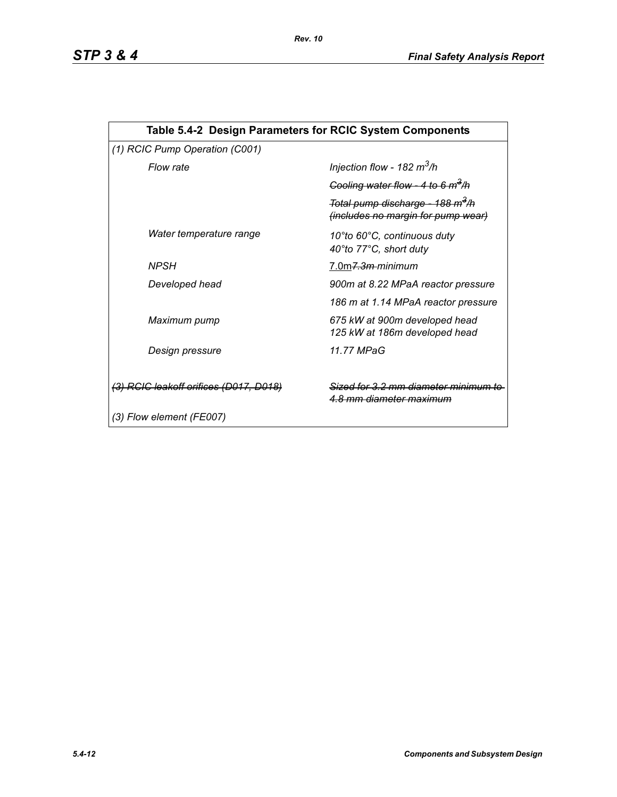| Table 5.4-2 Design Parameters for RCIC System Components |                                                                                    |  |  |
|----------------------------------------------------------|------------------------------------------------------------------------------------|--|--|
| (1) RCIC Pump Operation (C001)                           |                                                                                    |  |  |
| Flow rate                                                | Injection flow - 182 $m^3/h$                                                       |  |  |
|                                                          | Cooling water flow - 4 to 6 $m^3/h$                                                |  |  |
|                                                          | Total pump discharge - 188 m <sup>3</sup> /h<br>(includes no margin for pump wear) |  |  |
| Water temperature range                                  | 10°to 60°C, continuous duty<br>40°to 77°C, short duty                              |  |  |
| <b>NPSH</b>                                              | 7.0m <del>7.3m </del> minimum                                                      |  |  |
| Developed head                                           | 900m at 8.22 MPaA reactor pressure                                                 |  |  |
|                                                          | 186 m at 1.14 MPaA reactor pressure                                                |  |  |
| Maximum pump                                             | 675 kW at 900m developed head<br>125 kW at 186m developed head                     |  |  |
| Design pressure                                          | 11.77 MPaG                                                                         |  |  |
| <del>(3) RCIC leakoff orifices (D017, D018)</del>        | Sized for 3.2 mm diameter minimu<br><u>4.8 mm diameter maximum</u>                 |  |  |
| (3) Flow element (FE007)                                 |                                                                                    |  |  |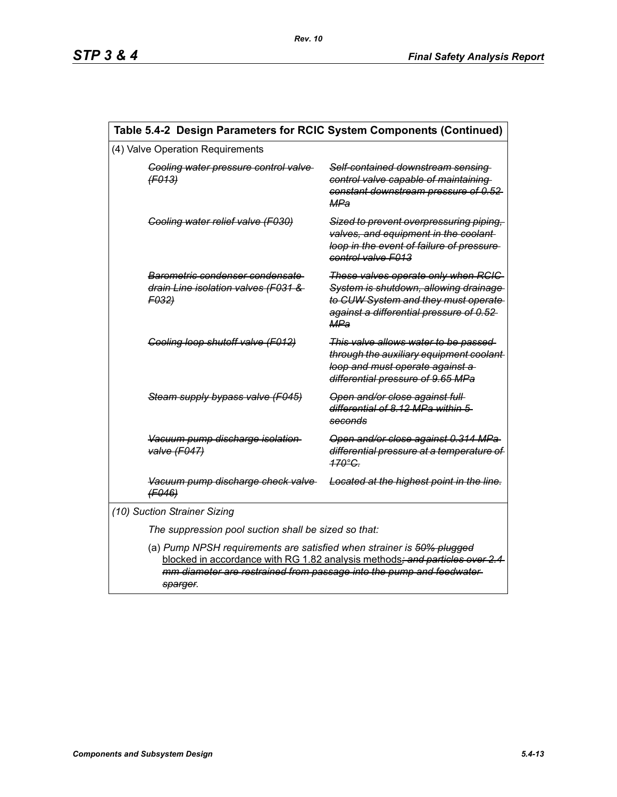| Table 5.4-2 Design Parameters for RCIC System Components (Continued)                                                                                                                                                                     |                                                                                                                                                                        |  |  |
|------------------------------------------------------------------------------------------------------------------------------------------------------------------------------------------------------------------------------------------|------------------------------------------------------------------------------------------------------------------------------------------------------------------------|--|--|
| (4) Valve Operation Requirements                                                                                                                                                                                                         |                                                                                                                                                                        |  |  |
| Cooling water pressure control valve<br>(F013)                                                                                                                                                                                           | Self-contained downstream sensing<br>control valve capable of maintaining<br>constant downstream pressure of 0.52<br>MPa                                               |  |  |
| Cooling water relief valve (F030)                                                                                                                                                                                                        | Sized to prevent overpressuring piping.<br>valves, and equipment in the coolant-<br>loop in the event of failure of pressure<br>control valve F013                     |  |  |
| Barometric condenser condensate<br>drain Line isolation valves (F031 &<br>F032                                                                                                                                                           | These valves operate only when RCIC<br>System is shutdown, allowing drainage<br>to CUW System and they must operate<br>against a differential pressure of 0.52-<br>MPa |  |  |
| Cooling loop shutoff valve (F012)                                                                                                                                                                                                        | This valve allows water to be passed<br>through the auxiliary equipment coolant-<br>loop and must operate against a<br>differential pressure of 9.65 MPa               |  |  |
| Steam supply bypass valve (F045)                                                                                                                                                                                                         | Open and/or close against full<br>differential of 8.12 MPa within 5<br>seconds                                                                                         |  |  |
| Vacuum pump discharge isolation<br>valve (F047)                                                                                                                                                                                          | Open and/or close against 0.314 MPa<br>differential pressure at a temperature of<br>$470^\circ G$                                                                      |  |  |
| Vacuum pump discharge check valve<br>(F046)                                                                                                                                                                                              | Located at the highest point in the line.                                                                                                                              |  |  |
| (10) Suction Strainer Sizing                                                                                                                                                                                                             |                                                                                                                                                                        |  |  |
| The suppression pool suction shall be sized so that:                                                                                                                                                                                     |                                                                                                                                                                        |  |  |
| (a) Pump NPSH requirements are satisfied when strainer is 50% plugged<br>blocked in accordance with RG 1.82 analysis methods; and particles over 2.4<br>mm diameter are restrained from passage into the pump and feedwater-<br>sparger. |                                                                                                                                                                        |  |  |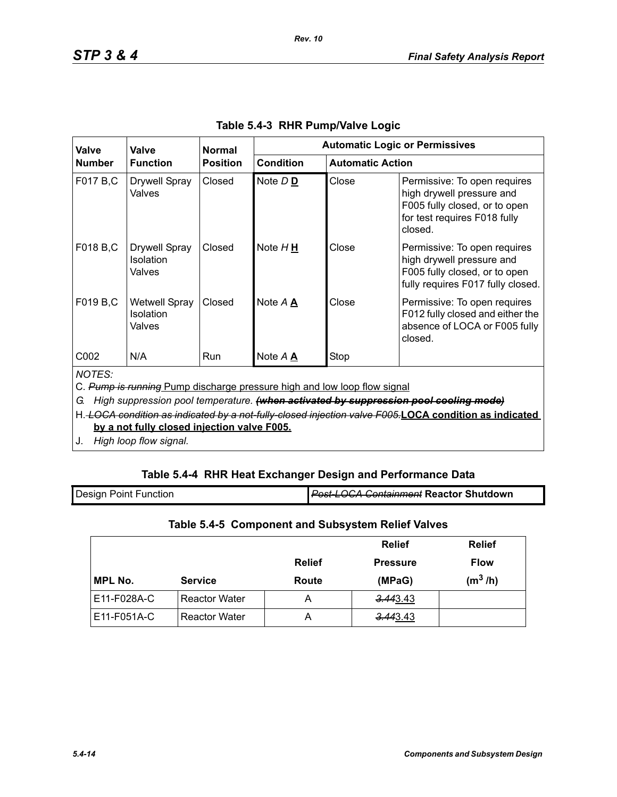| Valve                                                                                                                                                                                                                                                                                                                                           | Valve                                              | <b>Normal</b>   | <b>Automatic Logic or Permissives</b> |                         |                                                                                                                                       |
|-------------------------------------------------------------------------------------------------------------------------------------------------------------------------------------------------------------------------------------------------------------------------------------------------------------------------------------------------|----------------------------------------------------|-----------------|---------------------------------------|-------------------------|---------------------------------------------------------------------------------------------------------------------------------------|
| <b>Number</b>                                                                                                                                                                                                                                                                                                                                   | <b>Function</b>                                    | <b>Position</b> | <b>Condition</b>                      | <b>Automatic Action</b> |                                                                                                                                       |
| F017 B,C                                                                                                                                                                                                                                                                                                                                        | <b>Drywell Spray</b><br>Valves                     | Closed          | Note D <sub>D</sub>                   | Close                   | Permissive: To open requires<br>high drywell pressure and<br>F005 fully closed, or to open<br>for test requires F018 fully<br>closed. |
| F018 B,C                                                                                                                                                                                                                                                                                                                                        | <b>Drywell Spray</b><br><b>Isolation</b><br>Valves | Closed          | Note $H \underline{H}$                | Close                   | Permissive: To open requires<br>high drywell pressure and<br>F005 fully closed, or to open<br>fully requires F017 fully closed.       |
| F019 B,C                                                                                                                                                                                                                                                                                                                                        | <b>Wetwell Spray</b><br><b>Isolation</b><br>Valves | Closed          | Note A A                              | Close                   | Permissive: To open requires<br>F012 fully closed and either the<br>absence of LOCA or F005 fully<br>closed.                          |
| C002                                                                                                                                                                                                                                                                                                                                            | N/A                                                | Run             | Note A A                              | Stop                    |                                                                                                                                       |
| <b>NOTES:</b><br>C. Pump is running Pump discharge pressure high and low loop flow signal<br>High suppression pool temperature. (when activated by suppression pool cooling mode)<br>G.<br>H. LOCA condition as indicated by a not-fully-closed injection valve F005.LOCA condition as indicated<br>by a not fully closed injection valve F005. |                                                    |                 |                                       |                         |                                                                                                                                       |

*Rev. 10*

J. *High loop flow signal.*

# **Table 5.4-4 RHR Heat Exchanger Design and Performance Data**

| <b>Design Point Function</b> | <b>Post-LOCA Containment Reactor Shutdown</b> |
|------------------------------|-----------------------------------------------|
|                              |                                               |

# **Table 5.4-5 Component and Subsystem Relief Valves**

|                |                      | <b>Relief</b> |                 | <b>Relief</b> |
|----------------|----------------------|---------------|-----------------|---------------|
|                |                      | <b>Relief</b> | <b>Pressure</b> | <b>Flow</b>   |
| <b>MPL No.</b> | <b>Service</b>       | Route         | (MPaG)          | $(m^3/h)$     |
| E11-F028A-C    | <b>Reactor Water</b> | А             | 3.443.43        |               |
| E11-F051A-C    | <b>Reactor Water</b> | А             | 3.443.43        |               |

1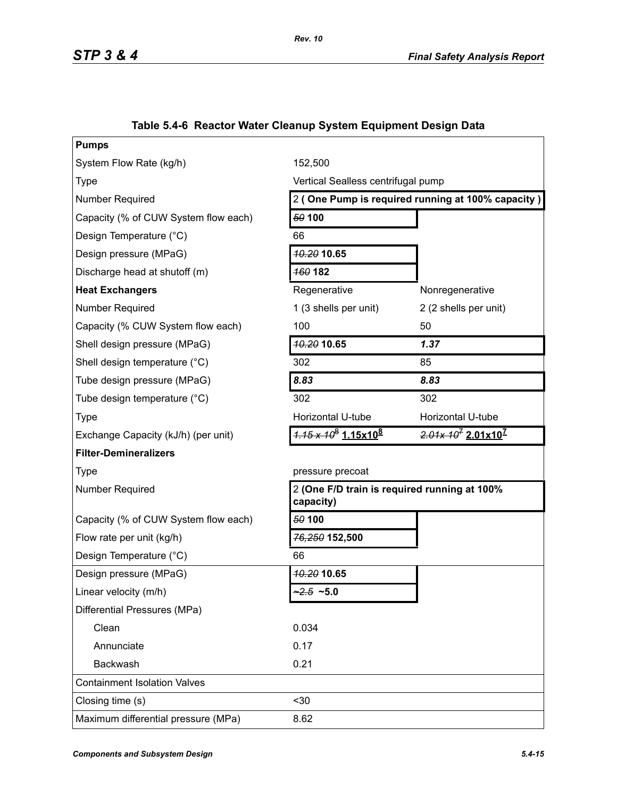| 152,500                                                   |                        |  |
|-----------------------------------------------------------|------------------------|--|
| Vertical Sealless centrifugal pump                        |                        |  |
| 2 (One Pump is required running at 100% capacity)         |                        |  |
| 50 100                                                    |                        |  |
| 66                                                        |                        |  |
| <b>40.20 10.65</b>                                        |                        |  |
| <b>160 182</b>                                            |                        |  |
| Regenerative                                              | Nonregenerative        |  |
| 1 (3 shells per unit)                                     | 2 (2 shells per unit)  |  |
| 100                                                       | 50                     |  |
| 10.20 10.65                                               | 1.37                   |  |
| 302                                                       | 85                     |  |
| 8.83                                                      | 8.83                   |  |
| 302                                                       | 302                    |  |
| Horizontal U-tube                                         | Horizontal U-tube      |  |
| $1.15 \times 10^8$ 1.15x10 <sup>8</sup>                   | $2.01x 10^7 2.01x10^7$ |  |
|                                                           |                        |  |
| pressure precoat                                          |                        |  |
| 2 (One F/D train is required running at 100%<br>capacity) |                        |  |
| 50 100                                                    |                        |  |
| 76,250 152,500                                            |                        |  |
| 66                                                        |                        |  |
| <b>40.20 10.65</b>                                        |                        |  |
|                                                           |                        |  |
| $-2.5 - 5.0$                                              |                        |  |
|                                                           |                        |  |
| 0.034                                                     |                        |  |
| 0.17                                                      |                        |  |
| 0.21                                                      |                        |  |
|                                                           |                        |  |
| $30$                                                      |                        |  |
|                                                           |                        |  |

# **Table 5.4-6 Reactor Water Cleanup System Equipment Design Data**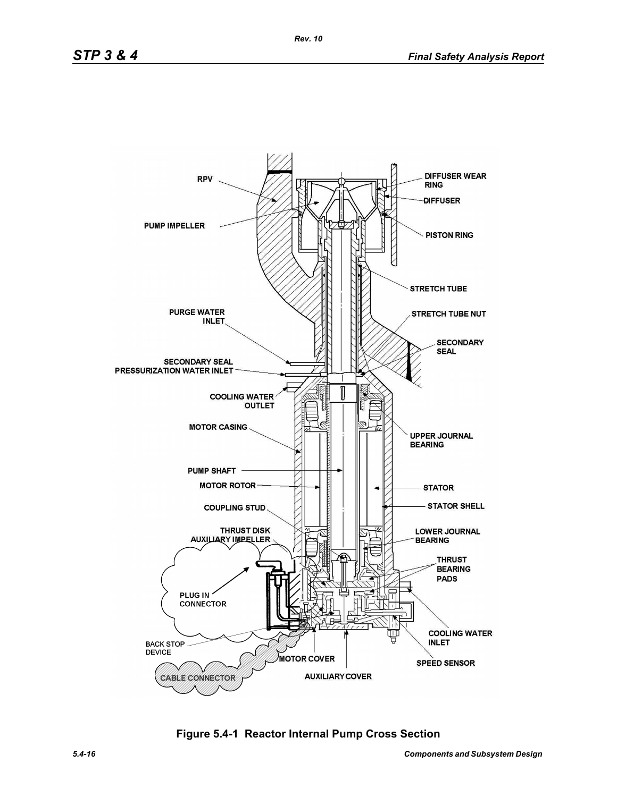

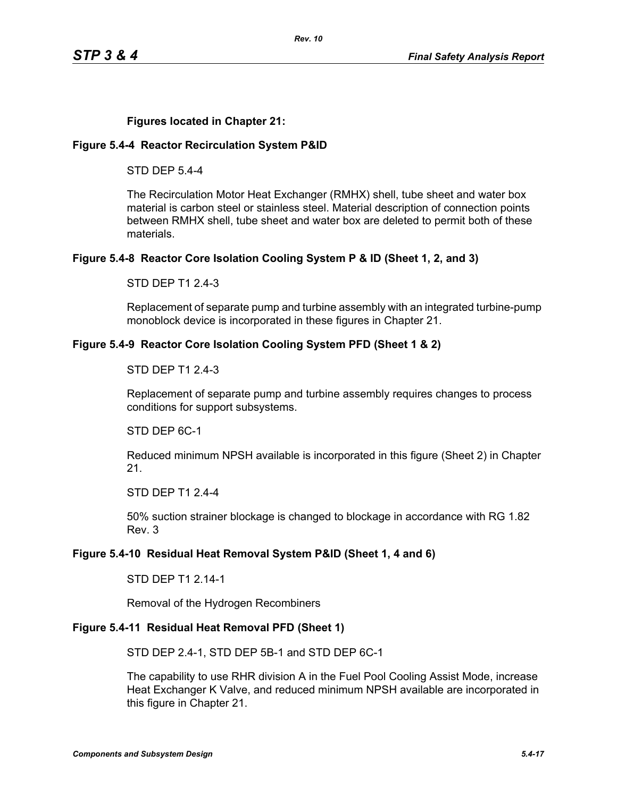### **Figures located in Chapter 21:**

#### **Figure 5.4-4 Reactor Recirculation System P&ID**

STD DEP 5.4-4

The Recirculation Motor Heat Exchanger (RMHX) shell, tube sheet and water box material is carbon steel or stainless steel. Material description of connection points between RMHX shell, tube sheet and water box are deleted to permit both of these materials.

### **Figure 5.4-8 Reactor Core Isolation Cooling System P & ID (Sheet 1, 2, and 3)**

STD DEP T1 2.4-3

Replacement of separate pump and turbine assembly with an integrated turbine-pump monoblock device is incorporated in these figures in Chapter 21.

#### **Figure 5.4-9 Reactor Core Isolation Cooling System PFD (Sheet 1 & 2)**

#### STD DEP T1 2.4-3

Replacement of separate pump and turbine assembly requires changes to process conditions for support subsystems.

STD DEP 6C-1

Reduced minimum NPSH available is incorporated in this figure (Sheet 2) in Chapter 21.

STD DEP T1 2.4-4

50% suction strainer blockage is changed to blockage in accordance with RG 1.82 Rev. 3

### **Figure 5.4-10 Residual Heat Removal System P&ID (Sheet 1, 4 and 6)**

STD DEP T1 2.14-1

Removal of the Hydrogen Recombiners

### **Figure 5.4-11 Residual Heat Removal PFD (Sheet 1)**

STD DEP 2.4-1, STD DEP 5B-1 and STD DEP 6C-1

The capability to use RHR division A in the Fuel Pool Cooling Assist Mode, increase Heat Exchanger K Valve, and reduced minimum NPSH available are incorporated in this figure in Chapter 21.